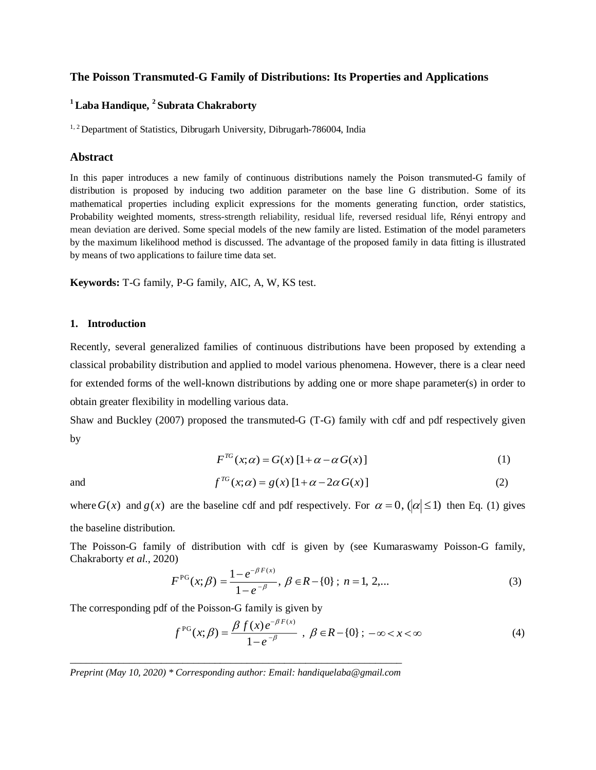# **The Poisson Transmuted-G Family of Distributions: Its Properties and Applications**

# **<sup>1</sup>Laba Handique, <sup>2</sup> Subrata Chakraborty**

<sup>1, 2</sup> Department of Statistics, Dibrugarh University, Dibrugarh-786004, India

### **Abstract**

In this paper introduces a new family of continuous distributions namely the Poison transmuted-G family of distribution is proposed by inducing two addition parameter on the base line G distribution. Some of its mathematical properties including explicit expressions for the moments generating function, order statistics, Probability weighted moments, stress-strength reliability, residual life, reversed residual life, Rényi entropy and mean deviation are derived. Some special models of the new family are listed. Estimation of the model parameters by the maximum likelihood method is discussed. The advantage of the proposed family in data fitting is illustrated by means of two applications to failure time data set.

**Keywords:** T-G family, P-G family, AIC, A, W, KS test.

### **1. Introduction**

Recently, several generalized families of continuous distributions have been proposed by extending a classical probability distribution and applied to model various phenomena. However, there is a clear need for extended forms of the well-known distributions by adding one or more shape parameter(s) in order to obtain greater flexibility in modelling various data.

Shaw and Buckley (2007) proposed the transmuted-G (T-G) family with cdf and pdf respectively given by

$$
F^{TG}(x;\alpha) = G(x) \left[1 + \alpha - \alpha G(x)\right] \tag{1}
$$

and

$$
f^{TG}(x;\alpha) = g(x) \left[1 + \alpha - 2\alpha G(x)\right] \tag{2}
$$

where  $G(x)$  and  $g(x)$  are the baseline cdf and pdf respectively. For  $\alpha = 0$ , ( $|\alpha| \le 1$ ) then Eq. (1) gives

the baseline distribution.

The Poisson-G family of distribution with cdf is given by (see Kumaraswamy Poisson-G family, Chakraborty *et al*., 2020)

$$
F^{\text{PG}}(x;\beta) = \frac{1 - e^{-\beta F(x)}}{1 - e^{-\beta}}, \ \beta \in R - \{0\} \ ; \ n = 1, 2, \dots \tag{3}
$$

The corresponding pdf of the Poisson-G family is given by

$$
f^{PG}(x;\beta) = \frac{\beta f(x)e^{-\beta F(x)}}{1 - e^{-\beta}} , \ \beta \in R - \{0\} ; \ -\infty < x < \infty \tag{4}
$$

\_\_\_\_\_\_\_\_\_\_\_\_\_\_\_\_\_\_\_\_\_\_\_\_\_\_\_\_\_\_\_\_\_\_\_\_\_\_\_\_\_\_\_\_\_\_\_\_\_\_\_\_\_\_\_\_\_\_\_\_\_\_ *Preprint (May 10, 2020) \* Corresponding author: Email: handiquelaba@gmail.com*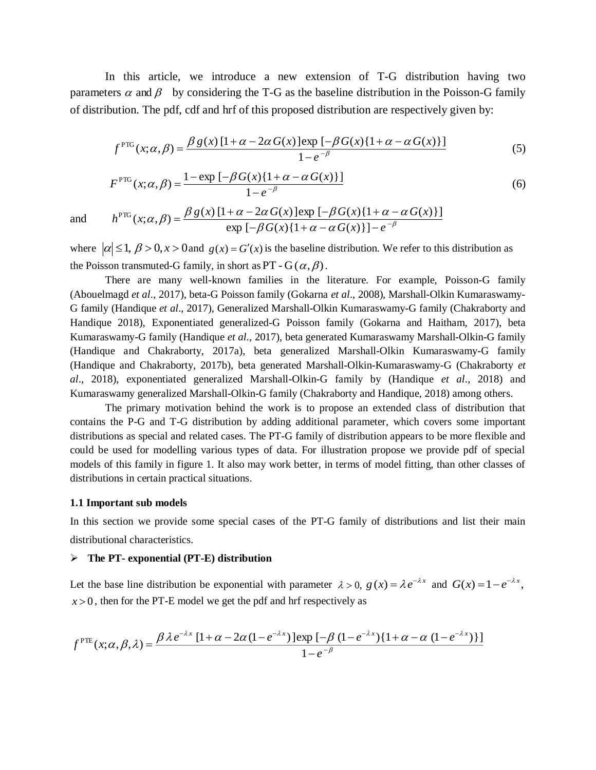In this article, we introduce a new extension of T-G distribution having two parameters  $\alpha$  and  $\beta$  by considering the T-G as the baseline distribution in the Poisson-G family of distribution. The pdf, cdf and hrf of this proposed distribution are respectively given by:

$$
f^{\text{PTG}}(x;\alpha,\beta) = \frac{\beta g(x)[1+\alpha-2\alpha G(x)]\exp\left[-\beta G(x)\{1+\alpha-\alpha G(x)\}\right]}{1-e^{-\beta}}
$$
(5)

$$
F^{\text{PTG}}(x;\alpha,\beta) = \frac{1 - \exp[-\beta G(x)\{1 + \alpha - \alpha G(x)\}]}{1 - e^{-\beta}}
$$
(6)

and

 $\beta G(x)\{1+\alpha-\alpha G(x)\}\right]-e^{-\beta}$  $\alpha, \beta$  =  $\frac{\beta g(x) [1 + \alpha - 2\alpha G(x)] \exp[-\beta G(x) \{1 + \alpha - \alpha \}]}{\exp[-\beta G(x) \{1 + \alpha - \alpha G(x)\}]-e^{-\beta}}$  $=\frac{\beta g(x)\left[1+\alpha-2\alpha G(x)\right]\exp\left[-\beta G(x)\right]\left[1+\alpha-2\alpha G(x)\right]}{\exp\left[-\beta G(x)\right]\left[1+\alpha-\alpha G(x)\right]\left[-e^{-\beta}\right]}$  $h^{\text{PTG}}(x; \alpha, \beta) = \frac{\beta g(x) \left[1 + \alpha - 2\alpha G(x)\right] \exp\left[-\beta G(x)\left\{1 + \alpha - \alpha G(x)\right\}\right]}{2\alpha}$  $\exp \left[ -\beta G(x) \{1 + \alpha - \alpha G(x)\}\right]$ ( ) [1 <sup>2</sup> ( )]exp [ ( ){1 ( )}] ( ; , ) PTG

where  $|\alpha| \leq 1$ ,  $\beta > 0$ ,  $x > 0$  and  $g(x) = G'(x)$  is the baseline distribution. We refer to this distribution as the Poisson transmuted-G family, in short as PT - G( $(\alpha,\beta)$ ).

There are many well-known families in the literature. For example, Poisson-G family (Abouelmagd *et al*., 2017), beta-G Poisson family (Gokarna *et al*., 2008), Marshall-Olkin Kumaraswamy-G family (Handique *et al*., 2017), Generalized Marshall-Olkin Kumaraswamy-G family (Chakraborty and Handique 2018), Exponentiated generalized-G Poisson family (Gokarna and Haitham, 2017), beta Kumaraswamy-G family (Handique *et al*., 2017), beta generated Kumaraswamy Marshall-Olkin-G family (Handique and Chakraborty, 2017a), beta generalized Marshall-Olkin Kumaraswamy-G family (Handique and Chakraborty, 2017b), beta generated Marshall-Olkin-Kumaraswamy-G (Chakraborty *et al*., 2018), exponentiated generalized Marshall-Olkin-G family by (Handique *et al*., 2018) and Kumaraswamy generalized Marshall-Olkin-G family (Chakraborty and Handique, 2018) among others.

The primary motivation behind the work is to propose an extended class of distribution that contains the P-G and T-G distribution by adding additional parameter, which covers some important distributions as special and related cases. The PT-G family of distribution appears to be more flexible and could be used for modelling various types of data. For illustration propose we provide pdf of special models of this family in figure 1. It also may work better, in terms of model fitting, than other classes of distributions in certain practical situations.

### **1.1 Important sub models**

In this section we provide some special cases of the PT-G family of distributions and list their main distributional characteristics.

### **The PT- exponential (PT-E) distribution**

Let the base line distribution be exponential with parameter  $\lambda > 0$ ,  $g(x) = \lambda e^{-\lambda x}$  and  $G(x) = 1 - e^{-\lambda x}$ ,  $x > 0$ , then for the PT-E model we get the pdf and hrf respectively as

$$
f^{\text{PTE}}(x;\alpha,\beta,\lambda) = \frac{\beta \lambda e^{-\lambda x} \left[1+\alpha-2\alpha(1-e^{-\lambda x})\right] \exp\left[-\beta(1-e^{-\lambda x})\left\{1+\alpha-\alpha(1-e^{-\lambda x})\right\}\right]}{1-e^{-\beta}}
$$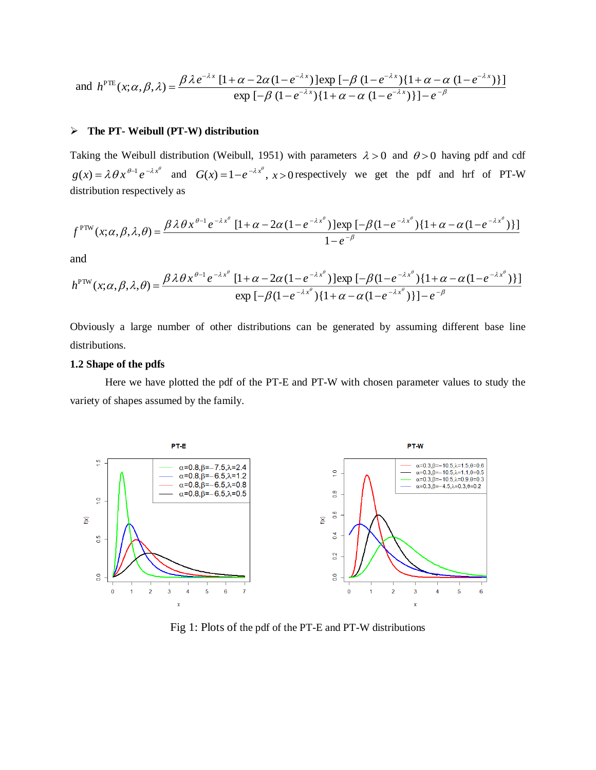and 
$$
h^{\text{PTE}}(x; \alpha, \beta, \lambda) = \frac{\beta \lambda e^{-\lambda x} [1 + \alpha - 2\alpha (1 - e^{-\lambda x})] \exp \left[-\beta (1 - e^{-\lambda x}) \{1 + \alpha - \alpha (1 - e^{-\lambda x})\}\right]}{\exp \left[-\beta (1 - e^{-\lambda x}) \{1 + \alpha - \alpha (1 - e^{-\lambda x})\}\right] - e^{-\beta}}
$$

## **The PT- Weibull (PT-W) distribution**

Taking the Weibull distribution (Weibull, 1951) with parameters  $\lambda > 0$  and  $\theta > 0$  having pdf and cdf  $g(x) = \lambda \theta x^{\theta-1} e^{-\lambda x^{\theta}}$  and  $G(x) = 1 - e^{-\lambda x^{\theta}}$ ,  $x > 0$  respectively we get the pdf and hrf of PT-W distribution respectively as

$$
f^{\text{PTW}}(x;\alpha,\beta,\lambda,\theta) = \frac{\beta \lambda \theta x^{\theta-1} e^{-\lambda x^{\theta}} \left[1+\alpha-2\alpha(1-e^{-\lambda x^{\theta}})\right] \exp\left[-\beta(1-e^{-\lambda x^{\theta}})\left\{1+\alpha-\alpha(1-e^{-\lambda x^{\theta}})\right\}\right]}{1-e^{-\beta}}
$$

and

$$
h^{\text{PTW}}(x;\alpha,\beta,\lambda,\theta) = \frac{\beta\lambda\theta x^{\theta-1}e^{-\lambda x^{\theta}}[1+\alpha-2\alpha(1-e^{-\lambda x^{\theta}})]\exp\left[-\beta(1-e^{-\lambda x^{\theta}})\{1+\alpha-\alpha(1-e^{-\lambda x^{\theta}})\}\right]}{\exp\left[-\beta(1-e^{-\lambda x^{\theta}})\{1+\alpha-\alpha(1-e^{-\lambda x^{\theta}})\}\right]-e^{-\beta}}
$$

Obviously a large number of other distributions can be generated by assuming different base line distributions.

### **1.2 Shape of the pdfs**

 Here we have plotted the pdf of the PT-E and PT-W with chosen parameter values to study the variety of shapes assumed by the family.



Fig 1: Plots of the pdf of the PT-E and PT-W distributions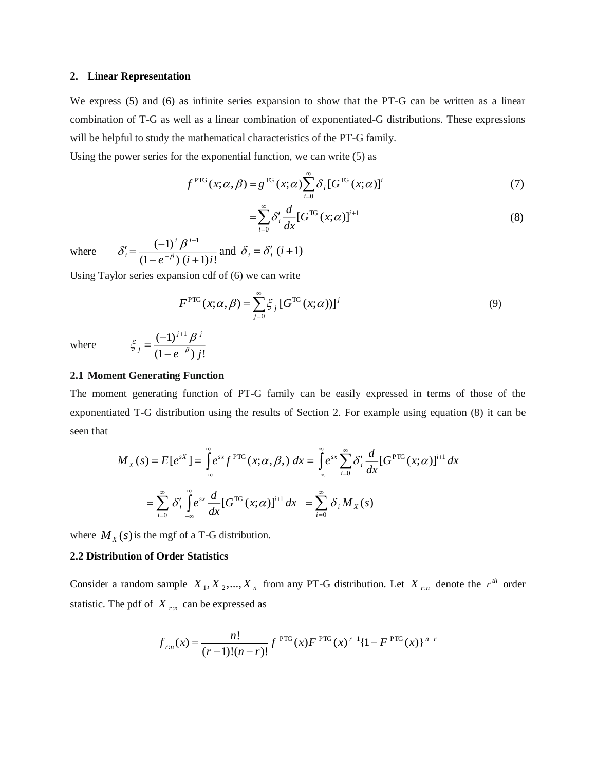#### **2. Linear Representation**

We express (5) and (6) as infinite series expansion to show that the PT-G can be written as a linear combination of T-G as well as a linear combination of exponentiated-G distributions. These expressions will be helpful to study the mathematical characteristics of the PT-G family.

Using the power series for the exponential function, we can write (5) as

$$
f^{\text{PTG}}(x;\alpha,\beta) = g^{\text{TG}}(x;\alpha) \sum_{i=0}^{\infty} \delta_i \left[ G^{\text{TG}}(x;\alpha) \right]^i \tag{7}
$$

$$
=\sum_{i=0}^{\infty} \delta'_i \frac{d}{dx} [G^{\text{TG}}(x;\alpha)]^{i+1} \tag{8}
$$

where  $(1 - e^{-\rho}) (i + 1)i!$  $\left( -1\right) ^{i}\beta ^{i+1}$  $e^{-\rho}$ )  $(i+1)i$ *i i*  $i^{\prime}$   $(1-e^{-\beta})$   $(i+$  $\frac{1}{i} = \frac{(-1)}{(1 - e^{-1})}$  $^{+}$  $_{\beta}$  $\delta_i' = \frac{(-1)^i \beta^{i+1}}{(-\beta)(\beta+i)}$  and  $\delta_i = \delta_i'$   $(i+1)$ 

Using Taylor series expansion cdf of (6) we can write

 $(1 - e^{-\rho}) j!$  $(-1)^{j+1}$ 

 $\,{}^{+}\,$ 

 $j$ <sup>-</sup> $(1$   $e^{-\beta}$  $\xi_j = \frac{(-1)^{j+1} \beta}{(1 - e^{-\beta})}$ 

 $=\frac{1}{2}$ 

*<sup>e</sup> j*

*j j*

$$
F^{\text{PTG}}(x;\alpha,\beta) = \sum_{j=0}^{\infty} \xi_j \left[ G^{\text{TG}}(x;\alpha) \right]^j
$$
 (9)

where

### **2.1 Moment Generating Function**

The moment generating function of PT-G family can be easily expressed in terms of those of the exponentiated T-G distribution using the results of Section 2. For example using equation (8) it can be seen that

$$
M_X(s) = E[e^{sX}] = \int_{-\infty}^{\infty} e^{sx} f^{PTG}(x; \alpha, \beta) dx = \int_{-\infty}^{\infty} e^{sx} \sum_{i=0}^{\infty} \delta'_i \frac{d}{dx} [G^{PTG}(x; \alpha)]^{i+1} dx
$$

$$
= \sum_{i=0}^{\infty} \delta'_i \int_{-\infty}^{\infty} e^{sx} \frac{d}{dx} [G^{TG}(x; \alpha)]^{i+1} dx = \sum_{i=0}^{\infty} \delta_i M_X(s)
$$

where  $M_X(s)$  is the mgf of a T-G distribution.

### **2.2 Distribution of Order Statistics**

Consider a random sample  $X_1, X_2, ..., X_n$  from any PT-G distribution. Let  $X_{r:n}$  denote the  $r^{th}$  order statistic. The pdf of *X <sup>r</sup>*:*<sup>n</sup>* can be expressed as

$$
f_{r:n}(x) = \frac{n!}{(r-1)!(n-r)!} f^{PTG}(x) F^{PTG}(x)^{r-1} \{1 - F^{PTG}(x)\}^{n-r}
$$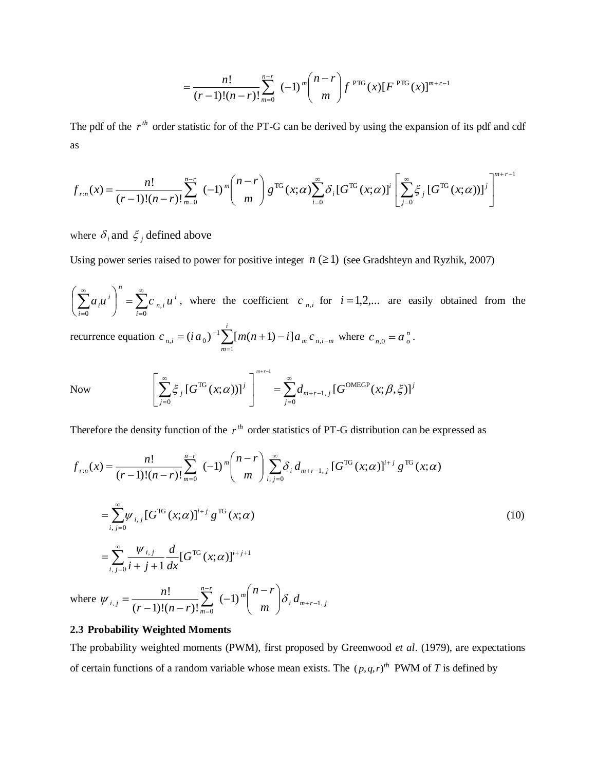$$
= \frac{n!}{(r-1)!(n-r)!} \sum_{m=0}^{n-r} (-1)^m {n-r \choose m} f^{PTG}(x) [F^{PTG}(x)]^{m+r-1}
$$

The pdf of the  $r^{th}$  order statistic for of the PT-G can be derived by using the expansion of its pdf and cdf as

$$
f_{r:n}(x) = \frac{n!}{(r-1)!(n-r)!} \sum_{m=0}^{n-r} (-1)^m {n-r \choose m} g^{\text{TG}}(x;\alpha) \sum_{i=0}^{\infty} \delta_i [G^{\text{TG}}(x;\alpha)]^i \left[ \sum_{j=0}^{\infty} \xi_j [G^{\text{TG}}(x;\alpha)]^j \right]^{m+r-1}
$$

where  $\delta_i$  and  $\zeta_j$  defined above

Using power series raised to power for positive integer  $n \geq 1$ ) (see Gradshteyn and Ryzhik, 2007)

 $\sum_{i=1}^{\infty} a_i u^{i} = \sum_{i=1}^{\infty} a_i$ J  $\left(\sum_{i=1}^{\infty} a_{i} u^{i}\right)$ l ſ  $\begin{array}{ccc} 0 & \cdot & \cdot \\ 0 & \cdot & \cdot \end{array}$   $\begin{array}{ccc} \overline{i} & \overline{ii} & \overline{ii} \\ \overline{i} & \overline{ii} & \overline{ii} \end{array}$ *i <sup>n</sup> i n i*  $a_i u^i$  =  $\sum c_{n,i} u^i$ , where the coefficient  $c_{n,i}$  for  $i = 1,2,...$  are easily obtained from the recurrence equation  $c_{n,i} = (ia_0)^{-1} \sum [m(n+1) - i] a_m c_{n,i-m}$ *i m*  $c_{n,i} = (ia_0)^{-1} \sum [m(n+1) - i] a_m c_{n,i-1}$  $=(i a_0)^{-1} \sum_{m=1} [m(n+1) - i] a_m c_n$ 1  $\sum_{n,i}$  =  $(i a_0)^{-1} \sum [m(n+1) - i] a_m c_{n,i-m}$  where  $c_{n,0} = a^n$ . Now  $\sum_{j=1}^{\infty} \xi_j [G^{\text{TG}}(x;\alpha))]^j$  =  $\sum_{j=1}^{\infty}$ =  $+r-$ ∞ - $\vert$  = 」  $\overline{\phantom{a}}$ L L  $\left[\begin{array}{ccc} \infty & & \infty \\ \infty & \infty & \infty \end{array}\right]^{m+r-1}$ 0 OMEGP 1, TG 0  $[G^{TG}(x;\alpha))]^{j}$  =  $\sum d_{m+r-1}$  [ $G^{OMEGP}(x;\beta,\xi)$ ] 1 *j j*  $m+r-1, j$ *j j*  $\int_{a} [G^{\text{TG}}(x;\alpha))]^{j}$  | =  $\sum d_{m+r-1, j} [G^{\text{OMEGP}}(x)]^{j}$ *m r*  $\mathcal{L}_{i} [G^{1G}(x;\alpha))]^{j}$  =  $\mathcal{L}_{m+r-1,i} [G^{0M \text{EGP}}(x;\beta,\xi)]$ 

Therefore the density function of the  $r<sup>th</sup>$  order statistics of PT-G distribution can be expressed as

$$
f_{r:n}(x) = \frac{n!}{(r-1)!(n-r)!} \sum_{m=0}^{n-r} (-1)^m {n-r \choose m} \sum_{i,j=0}^{\infty} \delta_i d_{m+r-1,j} [G^{TG}(x;\alpha)]^{i+j} g^{TG}(x;\alpha)
$$
  

$$
= \sum_{i,j=0}^{\infty} \psi_{i,j} [G^{TG}(x;\alpha)]^{i+j} g^{TG}(x;\alpha)
$$
  

$$
= \sum_{i,j=0}^{\infty} \frac{\psi_{i,j}}{i+j+1} \frac{d}{dx} [G^{TG}(x;\alpha)]^{i+j+1}
$$
 (10)

where  $\psi_{i,j} = \frac{n!}{(n-1)!(n-1)!} \sum_{r=0}^{n-r} (-1)^m \binom{n-r}{r} \delta_i d_{m+r-1,j}$  $\sum_{i,j=1}^{n} \frac{n!}{(r-1)!(n-r)!} \sum_{m=0}^{n} (-1)^m \binom{m}{m} \delta_i d_j$ *n r r* - 1)!(*n* - *r n*  $\sum_{j=0}^{n} \frac{n!}{(r-1)!(n-r)!} \sum_{m=0}^{n} (-1)^m \binom{m}{m} \delta_i d_{m+r-1}$  $(r-1)!(n-r)!$ !  $+r$ т,  $\equiv$   $\mid$   $m$   $\mid$  $\backslash$  $\mathsf{I}$ J  $\psi_{i,j} = \frac{n!}{(r-1)!(n-r)!} \sum_{n=0}^{n-r} (-1)^m {n-r \choose m} \delta$ 

### **2.3 Probability Weighted Moments**

The probability weighted moments (PWM), first proposed by Greenwood *et al*. (1979), are expectations of certain functions of a random variable whose mean exists. The  $(p,q,r)^{th}$  PWM of T is defined by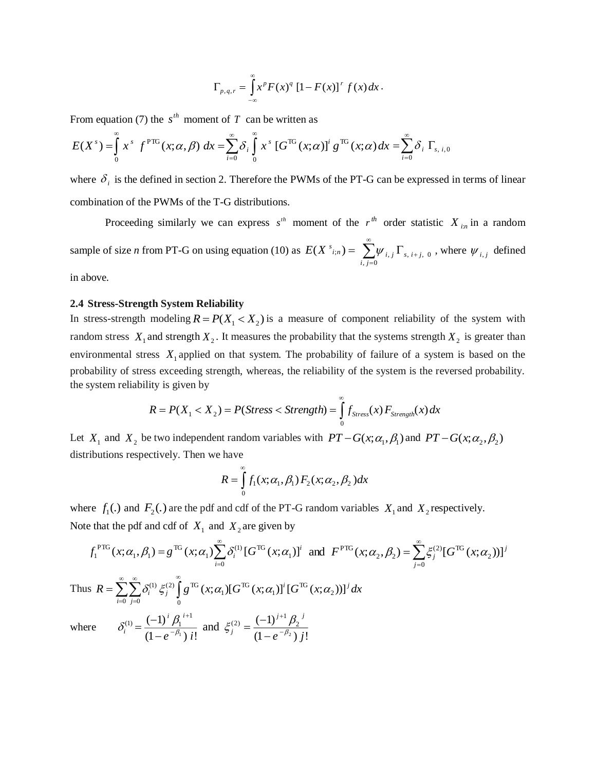$$
\Gamma_{p,q,r} = \int_{-\infty}^{\infty} x^p F(x)^q [1 - F(x)]^r f(x) dx.
$$

From equation (7) the  $s^{th}$  moment of T can be written as

$$
E(X^s) = \int_{0}^{\infty} x^s f^{PTG}(x;\alpha,\beta) dx = \sum_{i=0}^{\infty} \delta_i \int_{0}^{\infty} x^s [G^{TG}(x;\alpha)]^i g^{TG}(x;\alpha) dx = \sum_{i=0}^{\infty} \delta_i \Gamma_{s,i,0}
$$

where  $\delta_i$  is the defined in section 2. Therefore the PWMs of the PT-G can be expressed in terms of linear combination of the PWMs of the T-G distributions.

Proceeding similarly we can express  $s<sup>th</sup>$  moment of the  $r<sup>th</sup>$  order statistic  $X<sub>in</sub>$  in a random sample of size *n* from PT-G on using equation (10) as  $E(X^{s_{i,n}}) = \sum_{i} \psi_{i,j} \Gamma_{s,i+j,j}$ , 0 , *<sup>s</sup> i j i j*  $i, j \triangleq s, i+$ ∞  $\sum_{i=0}^{n} \psi_{i,j} \Gamma_{s,i+j,0}$ , where  $\psi_{i,j}$  defined in above.

# **2.4 Stress-Strength System Reliability**

In stress-strength modeling  $R = P(X_1 < X_2)$  is a measure of component reliability of the system with random stress  $X_1$  and strength  $X_2$ . It measures the probability that the systems strength  $X_2$  is greater than environmental stress  $X_1$  applied on that system. The probability of failure of a system is based on the probability of stress exceeding strength, whereas, the reliability of the system is the reversed probability. the system reliability is given by

$$
R = P(X_1 < X_2) = P(\text{Stress} < \text{Strength}) = \int_0^\infty f_{\text{Stress}}(x) F_{\text{Strength}}(x) \, dx
$$

Let  $X_1$  and  $X_2$  be two independent random variables with  $PT - G(x; \alpha_1, \beta_1)$  and  $PT - G(x; \alpha_2, \beta_2)$ distributions respectively. Then we have

$$
R = \int_{0}^{\infty} f_1(x; \alpha_1, \beta_1) F_2(x; \alpha_2, \beta_2) dx
$$

where  $f_1(.)$  and  $F_2(.)$  are the pdf and cdf of the PT-G random variables  $X_1$  and  $X_2$  respectively. Note that the pdf and cdf of  $X_1$  and  $X_2$  are given by

$$
f_1^{\text{PTG}}(x; \alpha_1, \beta_1) = g^{\text{TG}}(x; \alpha_1) \sum_{i=0}^{\infty} \delta_i^{(1)} \left[G^{\text{TG}}(x; \alpha_1)\right]^i \text{ and } F^{\text{PTG}}(x; \alpha_2, \beta_2) = \sum_{j=0}^{\infty} \xi_j^{(2)} \left[G^{\text{TG}}(x; \alpha_2)\right]^j
$$
  
\nThus  $R = \sum_{i=0}^{\infty} \sum_{j=0}^{\infty} \delta_i^{(1)} \xi_j^{(2)} \int_0^{\infty} g^{\text{TG}}(x; \alpha_1) \left[G^{\text{TG}}(x; \alpha_1)\right]^i \left[G^{\text{TG}}(x; \alpha_2)\right]^j dx$   
\nwhere  $\delta_i^{(1)} = \frac{(-1)^i \beta_1^{i+1}}{(1 - e^{-\beta_1}) i!}$  and  $\xi_j^{(2)} = \frac{(-1)^{j+1} \beta_2^{j}}{(1 - e^{-\beta_2}) j!}$ 

 $\mathbf W$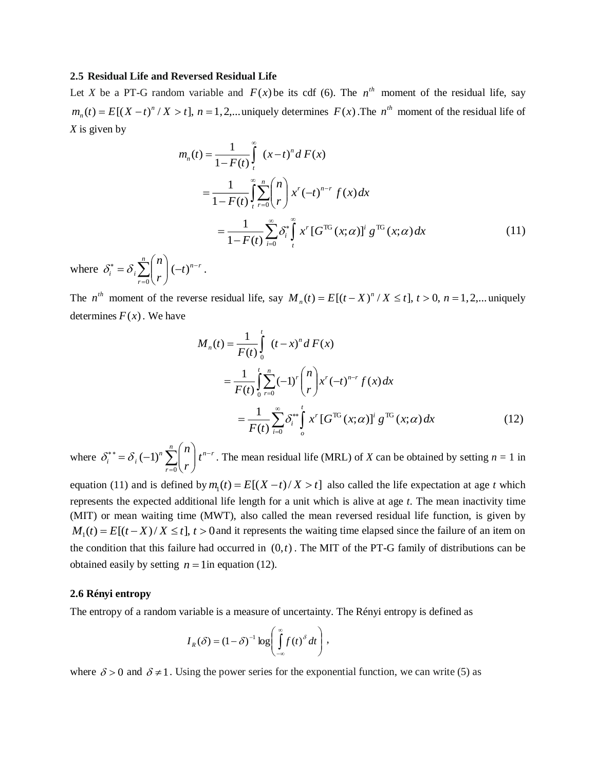#### **2.5 Residual Life and Reversed Residual Life**

Let *X* be a PT-G random variable and  $F(x)$  be its cdf (6). The  $n^{th}$  moment of the residual life, say  $m_n(t) = E[(X - t)^n / X > t], n = 1, 2,...$  $n_n(t) = E[(X - t)^n / X > t]$ ,  $n = 1, 2, ...$  uniquely determines  $F(x)$ . The  $n^{th}$  moment of the residual life of *X* is given by

$$
m_n(t) = \frac{1}{1 - F(t)} \int_{t}^{\infty} (x - t)^n dF(x)
$$
  
= 
$$
\frac{1}{1 - F(t)} \int_{t}^{\infty} \sum_{r=0}^{n} {n \choose r} x^r (-t)^{n-r} f(x) dx
$$
  
= 
$$
\frac{1}{1 - F(t)} \sum_{i=0}^{\infty} \delta_i^* \int_{t}^{\infty} x^r [G^{TG}(x; \alpha)]^i g^{TG}(x; \alpha) dx
$$
 (11)

where  $\delta_i^* = \delta_i \sum_{r=1}^n {n \choose r} (-t)^{n-r}$ *r*  $\hat{i} = \partial_i$ ,  $\left| \begin{array}{c} | \\ | \end{array} \right|$ *r*  $\sigma_i^* = \delta_i \sum_{r=0}^n {n \choose r} (-t)^{n-r}$  $\backslash$  $\overline{\phantom{a}}$ J  $= \delta_i \sum_{r=0}^n {n \choose r} (-t)$  $\delta_i^* = \delta_i \sum \left| \int_{i}^{n} \right| (-t)^{n-r}.$ 

The *n*<sup>th</sup> moment of the reverse residual life, say  $M_n(t) = E[(t - X)^n / X \le t]$ ,  $t > 0$ ,  $n = 1, 2,...$  $n(t) = E[(t - X)^n / X \le t], t > 0, n = 1, 2, ...$  uniquely determines  $F(x)$ . We have

$$
M_n(t) = \frac{1}{F(t)} \int_0^t (t - x)^n dF(x)
$$
  
= 
$$
\frac{1}{F(t)} \int_0^t \sum_{r=0}^n (-1)^r \binom{n}{r} x^r (-t)^{n-r} f(x) dx
$$
  
= 
$$
\frac{1}{F(t)} \sum_{i=0}^\infty \delta_i^{**} \int_0^t x^r [G^{TG}(x;\alpha)]^i g^{TG}(x;\alpha) dx
$$
 (12)

where  $\delta_i^{**} = \delta_i (-1)^n \sum_{n=1}^n {n \choose n} t^{n-r}$ *r*  $\delta_i^* = \delta_i (-1)^n \sum |t|$ *r*  $n\vert_{\mathcal{A}^{n-1}}$  $\sum_{i=0}^{n} (-1)^n \sum_{r=0}^{n} \binom{n}{r}$  $\backslash$  $\overline{\phantom{a}}$ L  $=\delta$ .  $(-1)^n\sum_{n=0}^{\infty}$  $\delta_i^{**} = \delta_i (-1)^n$   $\left[ \int_1^{n-r}$ . The mean residual life (MRL) of *X* can be obtained by setting  $n = 1$  in

equation (11) and is defined by  $m_1(t) = E[(X - t)/X > t]$  also called the life expectation at age *t* which represents the expected additional life length for a unit which is alive at age *t*. The mean inactivity time (MIT) or mean waiting time (MWT), also called the mean reversed residual life function, is given by  $M_1(t) = E[(t - X)/X \le t]$ ,  $t > 0$  and it represents the waiting time elapsed since the failure of an item on the condition that this failure had occurred in  $(0,t)$ . The MIT of the PT-G family of distributions can be obtained easily by setting  $n = 1$  in equation (12).

### **2.6 Rényi entropy**

The entropy of a random variable is a measure of uncertainty. The Rényi entropy is defined as

$$
I_R(\delta) = (1 - \delta)^{-1} \log \left( \int_{-\infty}^{\infty} f(t)^{\delta} dt \right),
$$

where  $\delta > 0$  and  $\delta \neq 1$ . Using the power series for the exponential function, we can write (5) as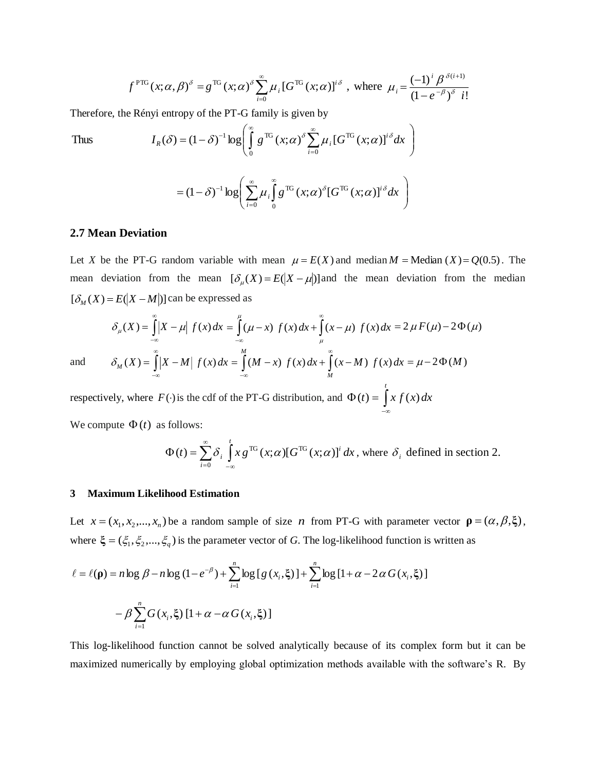$$
f^{\text{PTG}}(x;\alpha,\beta)^{\delta} = g^{\text{TG}}(x;\alpha)^{\delta} \sum_{i=0}^{\infty} \mu_i \left[G^{\text{TG}}(x;\alpha)\right]^{i\delta}, \text{ where } \mu_i = \frac{(-1)^i \beta^{\delta(i+1)}}{(1 - e^{-\beta})^{\delta} i!}
$$

Therefore, the Rényi entropy of the PT-G family is given by

Thus  
\n
$$
I_R(\delta) = (1 - \delta)^{-1} \log \left( \int_0^{\infty} g^{TG}(x; \alpha)^{\delta} \sum_{i=0}^{\infty} \mu_i [G^{TG}(x; \alpha)]^{i\delta} dx \right)
$$
\n
$$
= (1 - \delta)^{-1} \log \left( \sum_{i=0}^{\infty} \mu_i \int_0^{\infty} g^{TG}(x; \alpha)^{\delta} [G^{TG}(x; \alpha)]^{i\delta} dx \right)
$$

## **2.7 Mean Deviation**

Let *X* be the PT-G random variable with mean  $\mu = E(X)$  and median *M* = Median (*X*) = Q(0.5). The mean deviation from the mean  $[\delta_{\mu}(X) = E(|X - \mu|)]$  and the mean deviation from the median  $[\delta_M(X) = E(|X - M|)]$  can be expressed as

$$
\delta_{\mu}(X) = \int_{-\infty}^{\infty} |X - \mu| f(x) dx = \int_{-\infty}^{\mu} (\mu - x) f(x) dx + \int_{\mu}^{\infty} (x - \mu) f(x) dx = 2 \mu F(\mu) - 2 \Phi(\mu)
$$
  

$$
\delta_{M}(X) = \int_{-\infty}^{\infty} |X - M| f(x) dx = \int_{-\infty}^{M} (M - x) f(x) dx + \int_{M}^{\infty} (x - M) f(x) dx = \mu - 2 \Phi(M)
$$

and

respectively, where  $F(\cdot)$  is the cdf of the PT-G distribution, and  $\Phi(t) = \int$ –∞ *t*  $f(t) = x f(x) dx$ We compute  $\Phi(t)$  as follows:

$$
\Phi(t) = \sum_{i=0}^{\infty} \delta_i \int_{-\infty}^{t} x g^{TG}(x;\alpha) [G^{TG}(x;\alpha)]^i dx
$$
, where  $\delta_i$  defined in section 2.

### **3 Maximum Likelihood Estimation**

Let  $x = (x_1, x_2, ..., x_n)$  be a random sample of size *n* from PT-G with parameter vector  $\mathbf{p} = (\alpha, \beta, \xi)$ , where  $\xi = (\xi_1, \xi_2, ..., \xi_q)$  is the parameter vector of *G*. The log-likelihood function is written as

$$
\ell = \ell(\mathbf{p}) = n \log \beta - n \log (1 - e^{-\beta}) + \sum_{i=1}^{n} \log [g(x_i, \xi)] + \sum_{i=1}^{n} \log [1 + \alpha - 2\alpha G(x_i, \xi)]
$$

$$
- \beta \sum_{i=1}^{n} G(x_i, \xi) [1 + \alpha - \alpha G(x_i, \xi)]
$$

This log-likelihood function cannot be solved analytically because of its complex form but it can be maximized numerically by employing global optimization methods available with the software's R. By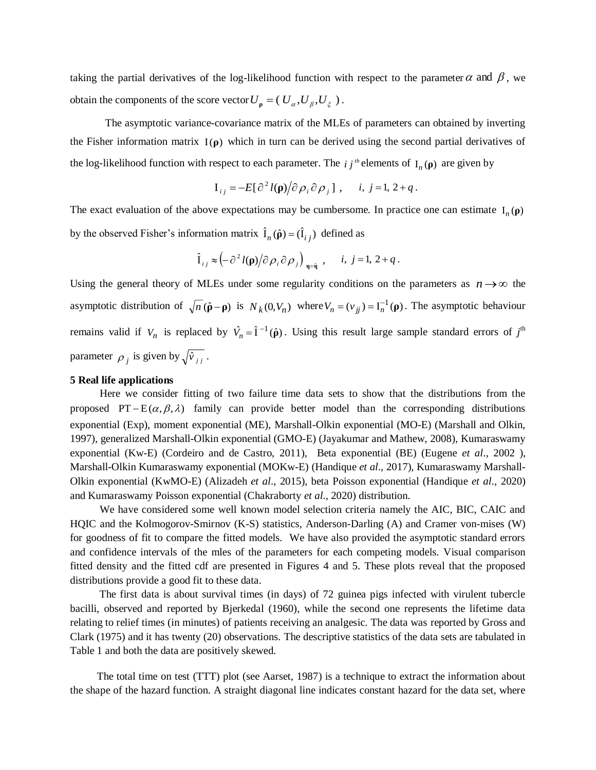taking the partial derivatives of the log-likelihood function with respect to the parameter  $\alpha$  and  $\beta$ , we obtain the components of the score vector  $U_{\rho} = (U_{\alpha}, U_{\beta}, U_{\xi}).$ 

The asymptotic variance-covariance matrix of the MLEs of parameters can obtained by inverting the Fisher information matrix I(**ρ**) which in turn can be derived using the second partial derivatives of the log-likelihood function with respect to each parameter. The  $i j<sup>th</sup>$  elements of  $I_n(\rho)$  are given by

$$
\mathbf{I}_{ij} = -E[\partial^2 l(\mathbf{p})/\partial \rho_i \partial \rho_j], \quad i, j = 1, 2 + q.
$$

The exact evaluation of the above expectations may be cumbersome. In practice one can estimate  $I_n(\rho)$ by the observed Fisher's information matrix  $\hat{\mathbf{I}}_n(\hat{\mathbf{p}}) = (\hat{\mathbf{I}}_{ij})$  defined as

$$
\hat{I}_{ij} \approx \left(-\partial^2 l(\mathbf{p})/\partial \rho_i \partial \rho_j\right)_{\mathbf{q} = \hat{\mathbf{q}}}, \quad i, j = 1, 2 + q.
$$

Using the general theory of MLEs under some regularity conditions on the parameters as  $n \rightarrow \infty$  the asymptotic distribution of  $\sqrt{n}(\hat{\rho} - \rho)$  is  $N_k(0, V_n)$  where  $V_n = (v_{jj}) = I_n^{-1}(\rho)$ . The asymptotic behaviour remains valid if  $V_n$  is replaced by  $\hat{V}_n = \hat{I}^{-1}(\hat{\rho})$ . Using this result large sample standard errors of  $j^{\text{th}}$ parameter  $\rho_j$  is given by  $\sqrt{\hat{v}}_{jj}$ .

#### **5 Real life applications**

 Here we consider fitting of two failure time data sets to show that the distributions from the proposed PT- $E(\alpha, \beta, \lambda)$  family can provide better model than the corresponding distributions exponential (Exp), moment exponential (ME), Marshall-Olkin exponential (MO-E) (Marshall and Olkin, 1997), generalized Marshall-Olkin exponential (GMO-E) (Jayakumar and Mathew, 2008), Kumaraswamy exponential (Kw-E) (Cordeiro and de Castro, 2011), Beta exponential (BE) (Eugene *et al*., 2002 ), Marshall-Olkin Kumaraswamy exponential (MOKw-E) (Handique *et al*., 2017), Kumaraswamy Marshall-Olkin exponential (KwMO-E) (Alizadeh *et al*., 2015), beta Poisson exponential (Handique *et al*., 2020) and Kumaraswamy Poisson exponential (Chakraborty *et al*., 2020) distribution.

 We have considered some well known model selection criteria namely the AIC, BIC, CAIC and HQIC and the Kolmogorov-Smirnov (K-S) statistics, Anderson-Darling (A) and Cramer von-mises (W) for goodness of fit to compare the fitted models. We have also provided the asymptotic standard errors and confidence intervals of the mles of the parameters for each competing models. Visual comparison fitted density and the fitted cdf are presented in Figures 4 and 5. These plots reveal that the proposed distributions provide a good fit to these data.

 The first data is about survival times (in days) of 72 guinea pigs infected with virulent tubercle bacilli, observed and reported by Bjerkedal (1960), while the second one represents the lifetime data relating to relief times (in minutes) of patients receiving an analgesic. The data was reported by Gross and Clark (1975) and it has twenty (20) observations. The descriptive statistics of the data sets are tabulated in Table 1 and both the data are positively skewed.

 The total time on test (TTT) plot (see Aarset, 1987) is a technique to extract the information about the shape of the hazard function. A straight diagonal line indicates constant hazard for the data set, where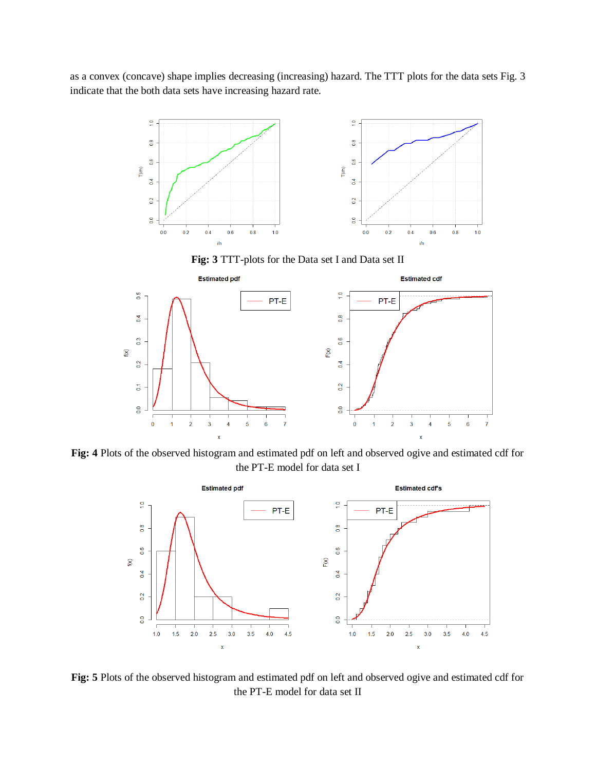as a convex (concave) shape implies decreasing (increasing) hazard. The TTT plots for the data sets Fig. 3 indicate that the both data sets have increasing hazard rate.



**Fig: 3** TTT-plots for the Data set I and Data set II



**Fig: 4** Plots of the observed histogram and estimated pdf on left and observed ogive and estimated cdf for the PT-E model for data set I



**Fig: 5** Plots of the observed histogram and estimated pdf on left and observed ogive and estimated cdf for the PT-E model for data set II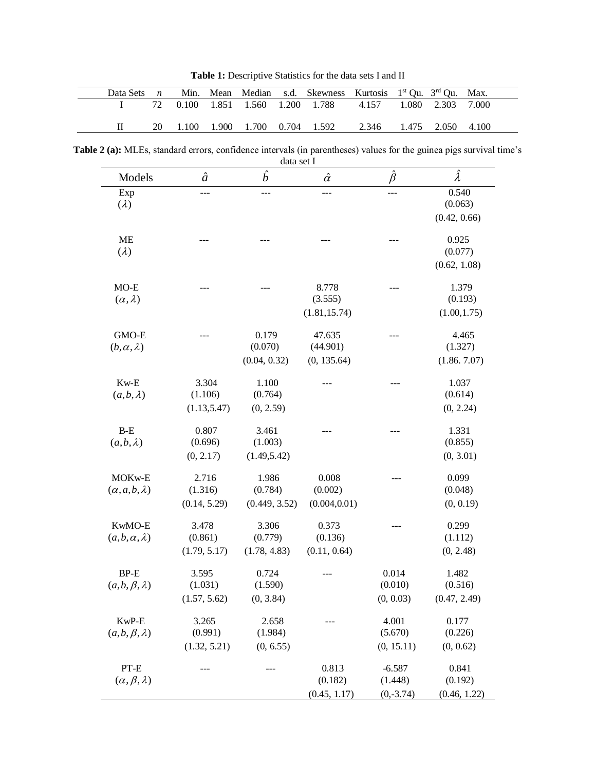Table 1: Descriptive Statistics for the data sets I and II

| Data Sets $n$ |  |                               | Min. Mean Median s.d. Skewness Kurtosis 1 <sup>st</sup> Qu. 3 <sup>rd</sup> Qu. Max. |                         |                   |  |
|---------------|--|-------------------------------|--------------------------------------------------------------------------------------|-------------------------|-------------------|--|
|               |  |                               | 72  0.100  1.851  1.560  1.200  1.788  4.157                                         |                         | 1.080 2.303 7.000 |  |
|               |  | 1.100 1.900 1.700 0.704 1.592 |                                                                                      | 2.346 1.475 2.050 4.100 |                   |  |

**Table 2 (a):** MLEs, standard errors, confidence intervals (in parentheses) values for the guinea pigs survival time's data set I

| Models                     | $\hat{a}$    | $\hat{b}$     | $\hat{\alpha}$ | $\hat{\beta}$ | $\hat{\lambda}$ |
|----------------------------|--------------|---------------|----------------|---------------|-----------------|
| Exp                        |              |               |                |               | 0.540           |
| $(\lambda)$                |              |               |                |               | (0.063)         |
|                            |              |               |                |               | (0.42, 0.66)    |
| <b>ME</b>                  |              |               |                |               | 0.925           |
| $(\lambda)$                |              |               |                |               | (0.077)         |
|                            |              |               |                |               | (0.62, 1.08)    |
| $MO-E$                     |              |               | 8.778          |               | 1.379           |
| $(\alpha, \lambda)$        |              |               | (3.555)        |               | (0.193)         |
|                            |              |               | (1.81, 15.74)  |               | (1.00, 1.75)    |
| GMO-E                      |              | 0.179         | 47.635         |               | 4.465           |
| $(b, \alpha, \lambda)$     |              | (0.070)       | (44.901)       |               | (1.327)         |
|                            |              | (0.04, 0.32)  | (0, 135.64)    |               | (1.86.7.07)     |
| $Kw-E$                     | 3.304        | 1.100         |                |               | 1.037           |
| $(a,b,\lambda)$            | (1.106)      | (0.764)       |                |               | (0.614)         |
|                            | (1.13, 5.47) | (0, 2.59)     |                |               | (0, 2.24)       |
| $B-E$                      | 0.807        | 3.461         |                |               | 1.331           |
| $(a,b,\lambda)$            | (0.696)      | (1.003)       |                |               | (0.855)         |
|                            | (0, 2.17)    | (1.49, 5.42)  |                |               | (0, 3.01)       |
| MOK <sub>w-E</sub>         | 2.716        | 1.986         | 0.008          |               | 0.099           |
| $(\alpha, a, b, \lambda)$  | (1.316)      | (0.784)       | (0.002)        |               | (0.048)         |
|                            | (0.14, 5.29) | (0.449, 3.52) | (0.004, 0.01)  |               | (0, 0.19)       |
| KwMO-E                     | 3.478        | 3.306         | 0.373          |               | 0.299           |
| $(a,b,\alpha,\lambda)$     | (0.861)      | (0.779)       | (0.136)        |               | (1.112)         |
|                            | (1.79, 5.17) | (1.78, 4.83)  | (0.11, 0.64)   |               | (0, 2.48)       |
| $BP-E$                     | 3.595        | 0.724         |                | 0.014         | 1.482           |
| $(a,b,\beta,\lambda)$      | (1.031)      | (1.590)       |                | (0.010)       | (0.516)         |
|                            | (1.57, 5.62) | (0, 3.84)     |                | (0, 0.03)     | (0.47, 2.49)    |
| KwP-E                      | 3.265        | 2.658         |                | 4.001         | 0.177           |
| $(a,b,\beta,\lambda)$      | (0.991)      | (1.984)       |                | (5.670)       | (0.226)         |
|                            | (1.32, 5.21) | (0, 6.55)     |                | (0, 15.11)    | (0, 0.62)       |
| PT-E                       |              |               | 0.813          | $-6.587$      | 0.841           |
| $(\alpha, \beta, \lambda)$ |              |               | (0.182)        | (1.448)       | (0.192)         |
|                            |              |               | (0.45, 1.17)   | $(0,-3.74)$   | (0.46, 1.22)    |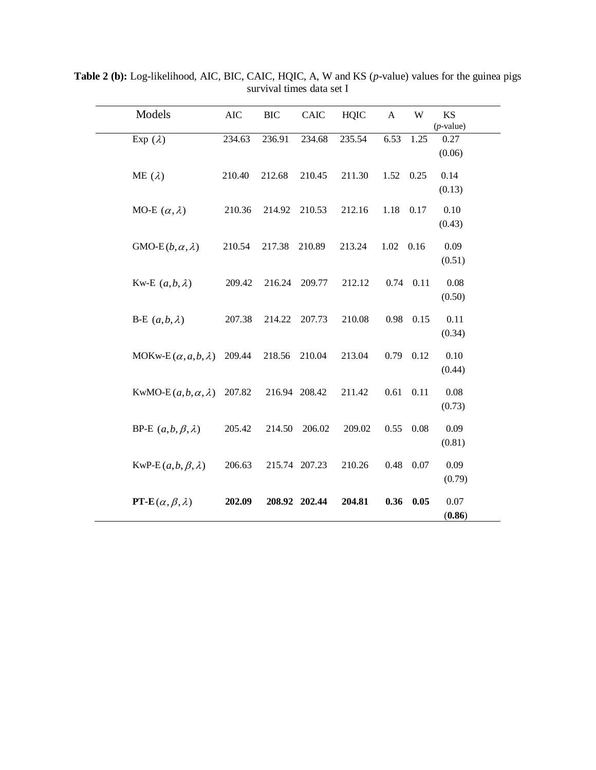| Models                           | AIC    | <b>BIC</b> | CAIC          | <b>HQIC</b> | $\mathbf{A}$ | W        | KS<br>$(p$ -value) |
|----------------------------------|--------|------------|---------------|-------------|--------------|----------|--------------------|
| Exp $(\lambda)$                  | 234.63 | 236.91     | 234.68        | 235.54      | 6.53         | 1.25     | 0.27<br>(0.06)     |
| ME $(\lambda)$                   | 210.40 | 212.68     | 210.45        | 211.30      | 1.52         | 0.25     | 0.14<br>(0.13)     |
| MO-E $(\alpha, \lambda)$         | 210.36 | 214.92     | 210.53        | 212.16      | 1.18         | 0.17     | 0.10<br>(0.43)     |
| GMO-E $(b, \alpha, \lambda)$     | 210.54 | 217.38     | 210.89        | 213.24      | 1.02         | 0.16     | 0.09<br>(0.51)     |
| Kw-E $(a,b,\lambda)$             | 209.42 | 216.24     | 209.77        | 212.12      | 0.74         | 0.11     | 0.08<br>(0.50)     |
| B-E $(a,b,\lambda)$              | 207.38 | 214.22     | 207.73        | 210.08      | 0.98         | 0.15     | 0.11<br>(0.34)     |
| MOKw-E $(\alpha, a, b, \lambda)$ | 209.44 | 218.56     | 210.04        | 213.04      | 0.79         | 0.12     | 0.10<br>(0.44)     |
| KwMO-E $(a, b, \alpha, \lambda)$ | 207.82 |            | 216.94 208.42 | 211.42      | 0.61         | $0.11\,$ | $0.08\,$<br>(0.73) |
| BP-E $(a,b,\beta,\lambda)$       | 205.42 | 214.50     | 206.02        | 209.02      | 0.55         | 0.08     | 0.09<br>(0.81)     |
| KwP-E $(a,b,\beta,\lambda)$      | 206.63 |            | 215.74 207.23 | 210.26      | 0.48         | 0.07     | 0.09<br>(0.79)     |
| PT-E $(\alpha, \beta, \lambda)$  | 202.09 |            | 208.92 202.44 | 204.81      | 0.36         | 0.05     | 0.07<br>(0.86)     |

**Table 2 (b):** Log-likelihood, AIC, BIC, CAIC, HQIC, A, W and KS (*p*-value) values for the guinea pigs survival times data set I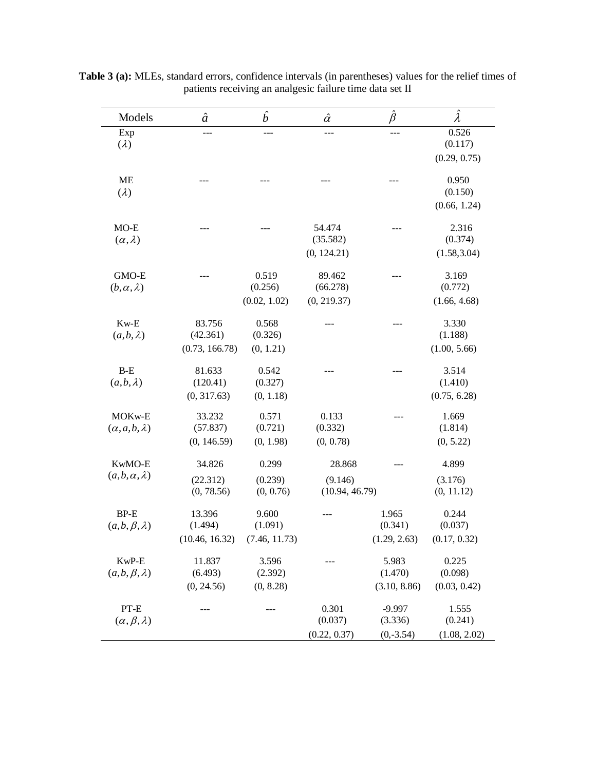| Models                                          | $\hat{a}$                            | $\hat{b}$                         | $\hat{\alpha}$                      | $\hat{\beta}$                      | $\hat{\lambda}$                  |
|-------------------------------------------------|--------------------------------------|-----------------------------------|-------------------------------------|------------------------------------|----------------------------------|
| Exp<br>$(\lambda)$                              |                                      |                                   |                                     |                                    | 0.526<br>(0.117)<br>(0.29, 0.75) |
| <b>ME</b><br>$(\lambda)$                        |                                      |                                   |                                     |                                    | 0.950<br>(0.150)<br>(0.66, 1.24) |
| $MO-E$<br>$(\alpha, \lambda)$                   |                                      |                                   | 54.474<br>(35.582)<br>(0, 124.21)   |                                    | 2.316<br>(0.374)<br>(1.58, 3.04) |
| GMO-E<br>$(b, \alpha, \lambda)$                 |                                      | 0.519<br>(0.256)<br>(0.02, 1.02)  | 89.462<br>(66.278)<br>(0, 219.37)   |                                    | 3.169<br>(0.772)<br>(1.66, 4.68) |
| $Kw-E$<br>$(a,b,\lambda)$                       | 83.756<br>(42.361)<br>(0.73, 166.78) | 0.568<br>(0.326)<br>(0, 1.21)     |                                     |                                    | 3.330<br>(1.188)<br>(1.00, 5.66) |
| $B-E$<br>$(a,b,\lambda)$                        | 81.633<br>(120.41)<br>(0, 317.63)    | 0.542<br>(0.327)<br>(0, 1.18)     |                                     |                                    | 3.514<br>(1.410)<br>(0.75, 6.28) |
| MOK <sub>w-E</sub><br>$(\alpha, a, b, \lambda)$ | 33.232<br>(57.837)<br>(0, 146.59)    | 0.571<br>(0.721)<br>(0, 1.98)     | 0.133<br>(0.332)<br>(0, 0.78)       |                                    | 1.669<br>(1.814)<br>(0, 5.22)    |
| KwMO-E<br>$(a,b,\alpha,\lambda)$                | 34.826<br>(22.312)<br>(0, 78.56)     | 0.299<br>(0.239)<br>(0, 0.76)     | 28.868<br>(9.146)<br>(10.94, 46.79) |                                    | 4.899<br>(3.176)<br>(0, 11.12)   |
| <b>BP-E</b><br>$(a,b,\beta,\lambda)$            | 13.396<br>(1.494)<br>(10.46, 16.32)  | 9.600<br>(1.091)<br>(7.46, 11.73) |                                     | 1.965<br>(0.341)<br>(1.29, 2.63)   | 0.244<br>(0.037)<br>(0.17, 0.32) |
| KwP-E<br>$(a,b,\beta,\lambda)$                  | 11.837<br>(6.493)<br>(0, 24.56)      | 3.596<br>(2.392)<br>(0, 8.28)     |                                     | 5.983<br>(1.470)<br>(3.10, 8.86)   | 0.225<br>(0.098)<br>(0.03, 0.42) |
| $PT-E$<br>$(\alpha, \beta, \lambda)$            |                                      |                                   | 0.301<br>(0.037)<br>(0.22, 0.37)    | $-9.997$<br>(3.336)<br>$(0,-3.54)$ | 1.555<br>(0.241)<br>(1.08, 2.02) |

**Table 3 (a):** MLEs, standard errors, confidence intervals (in parentheses) values for the relief times of patients receiving an analgesic failure time data set II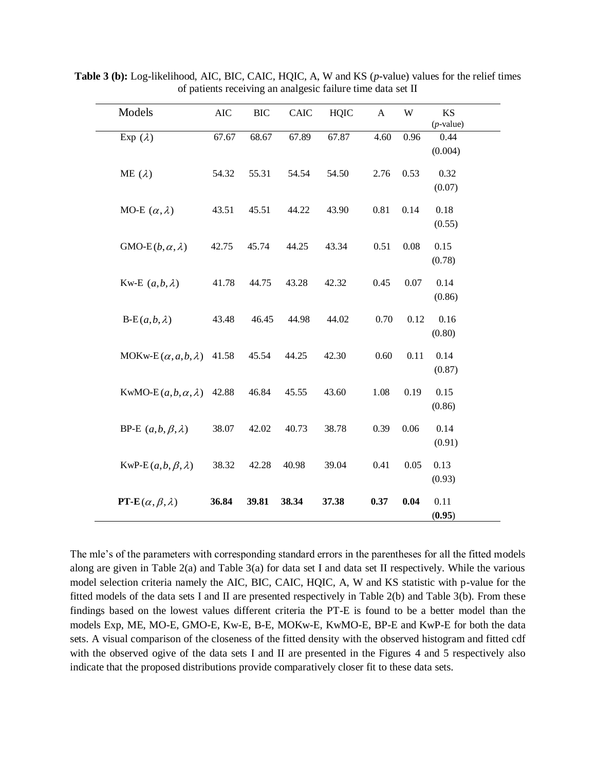| Models                           | <b>AIC</b> | <b>BIC</b> | CAIC  | <b>HQIC</b> | $\mathbf{A}$ | W        | KS<br>$(p$ -value) |
|----------------------------------|------------|------------|-------|-------------|--------------|----------|--------------------|
| Exp $(\lambda)$                  | 67.67      | 68.67      | 67.89 | 67.87       | 4.60         | 0.96     | 0.44<br>(0.004)    |
| ME $(\lambda)$                   | 54.32      | 55.31      | 54.54 | 54.50       | 2.76         | 0.53     | 0.32<br>(0.07)     |
| MO-E $(\alpha, \lambda)$         | 43.51      | 45.51      | 44.22 | 43.90       | 0.81         | 0.14     | 0.18<br>(0.55)     |
| GMO-E $(b, \alpha, \lambda)$     | 42.75      | 45.74      | 44.25 | 43.34       | 0.51         | $0.08\,$ | 0.15<br>(0.78)     |
| Kw-E $(a,b,\lambda)$             | 41.78      | 44.75      | 43.28 | 42.32       | 0.45         | 0.07     | 0.14<br>(0.86)     |
| $B-E(a,b,\lambda)$               | 43.48      | 46.45      | 44.98 | 44.02       | 0.70         | 0.12     | 0.16<br>(0.80)     |
| MOKw-E $(\alpha, a, b, \lambda)$ | 41.58      | 45.54      | 44.25 | 42.30       | 0.60         | 0.11     | 0.14<br>(0.87)     |
| KwMO-E $(a,b,\alpha,\lambda)$    | 42.88      | 46.84      | 45.55 | 43.60       | 1.08         | 0.19     | 0.15<br>(0.86)     |
| BP-E $(a,b,\beta,\lambda)$       | 38.07      | 42.02      | 40.73 | 38.78       | 0.39         | 0.06     | 0.14<br>(0.91)     |
| $KwP-E(a,b,\beta,\lambda)$       | 38.32      | 42.28      | 40.98 | 39.04       | 0.41         | 0.05     | 0.13<br>(0.93)     |
| PT-E $(\alpha, \beta, \lambda)$  | 36.84      | 39.81      | 38.34 | 37.38       | 0.37         | 0.04     | 0.11<br>(0.95)     |

**Table 3 (b):** Log-likelihood, AIC, BIC, CAIC, HQIC, A, W and KS (*p*-value) values for the relief times of patients receiving an analgesic failure time data set II

The mle's of the parameters with corresponding standard errors in the parentheses for all the fitted models along are given in Table 2(a) and Table 3(a) for data set I and data set II respectively. While the various model selection criteria namely the AIC, BIC, CAIC, HQIC, A, W and KS statistic with p-value for the fitted models of the data sets I and II are presented respectively in Table 2(b) and Table 3(b). From these findings based on the lowest values different criteria the PT-E is found to be a better model than the models Exp, ME, MO-E, GMO-E, Kw-E, B-E, MOKw-E, KwMO-E, BP-E and KwP-E for both the data sets. A visual comparison of the closeness of the fitted density with the observed histogram and fitted cdf with the observed ogive of the data sets I and II are presented in the Figures 4 and 5 respectively also indicate that the proposed distributions provide comparatively closer fit to these data sets.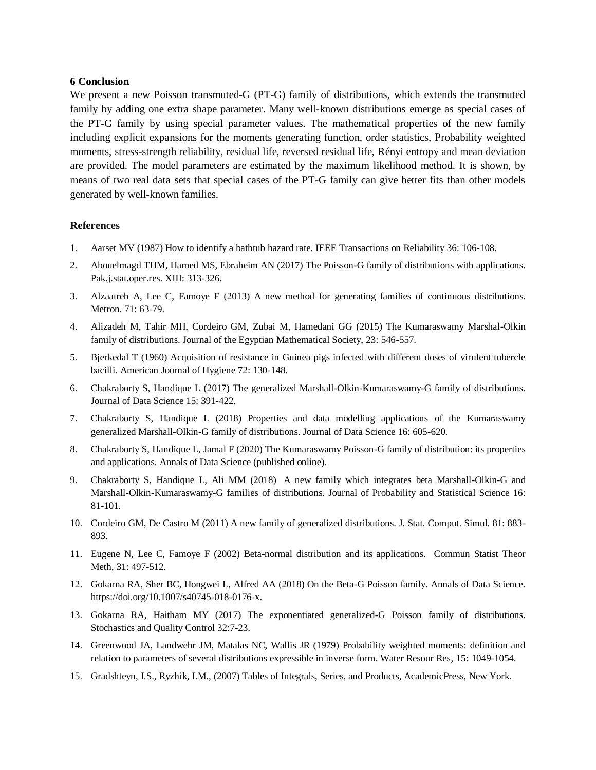### **6 Conclusion**

We present a new Poisson transmuted*-*G (PT-G) family of distributions, which extends the transmuted family by adding one extra shape parameter. Many well-known distributions emerge as special cases of the PT-G family by using special parameter values. The mathematical properties of the new family including explicit expansions for the moments generating function, order statistics, Probability weighted moments, stress-strength reliability, residual life, reversed residual life, Rényi entropy and mean deviation are provided. The model parameters are estimated by the maximum likelihood method. It is shown, by means of two real data sets that special cases of the PT-G family can give better fits than other models generated by well-known families.

### **References**

- 1. Aarset MV (1987) How to identify a bathtub hazard rate. IEEE Transactions on Reliability 36: 106-108.
- 2. Abouelmagd THM, Hamed MS, Ebraheim AN (2017) The Poisson-G family of distributions with applications. Pak.j.stat.oper.res. XIII: 313-326.
- 3. Alzaatreh A, Lee C, Famoye F (2013) A new method for generating families of continuous distributions. Metron. 71: 63-79.
- 4. Alizadeh M, Tahir MH, Cordeiro GM, Zubai M, Hamedani GG (2015) The Kumaraswamy Marshal-Olkin family of distributions. Journal of the Egyptian Mathematical Society, 23: 546-557.
- 5. Bjerkedal T (1960) Acquisition of resistance in Guinea pigs infected with different doses of virulent tubercle bacilli. American Journal of Hygiene 72: 130-148.
- 6. Chakraborty S, Handique L (2017) The generalized Marshall-Olkin-Kumaraswamy-G family of distributions. Journal of Data Science 15: 391-422.
- 7. Chakraborty S, Handique L (2018) Properties and data modelling applications of the Kumaraswamy generalized Marshall-Olkin-G family of distributions. Journal of Data Science 16: 605-620.
- 8. Chakraborty S, Handique L, Jamal F (2020) The Kumaraswamy Poisson-G family of distribution: its properties and applications. Annals of Data Science (published online).
- 9. Chakraborty S, Handique L, Ali MM (2018) A new family which integrates beta Marshall-Olkin-G and Marshall-Olkin-Kumaraswamy-G families of distributions. Journal of Probability and Statistical Science 16: 81-101.
- 10. Cordeiro GM, De Castro M (2011) A new family of generalized distributions. J. Stat. Comput. Simul. 81: 883- 893.
- 11. Eugene N, Lee C, Famoye F (2002) Beta-normal distribution and its applications. Commun Statist Theor Meth, 31: 497-512.
- 12. Gokarna RA, Sher BC, Hongwei L, Alfred AA (2018) On the Beta-G Poisson family. Annals of Data Science. [https://doi.org/10.1007/s40745-018-0176-x.](https://doi.org/10.1007/s40745-018-0176-x)
- 13. Gokarna RA, Haitham MY (2017) The exponentiated generalized-G Poisson family of distributions. Stochastics and Quality Control 32:7-23.
- 14. Greenwood JA, Landwehr JM, Matalas NC, Wallis JR (1979) Probability weighted moments: definition and relation to parameters of several distributions expressible in inverse form. Water Resour Res*,* 15**:** 1049-1054.
- 15. Gradshteyn, I.S., Ryzhik, I.M., (2007) Tables of Integrals, Series, and Products, AcademicPress, New York.